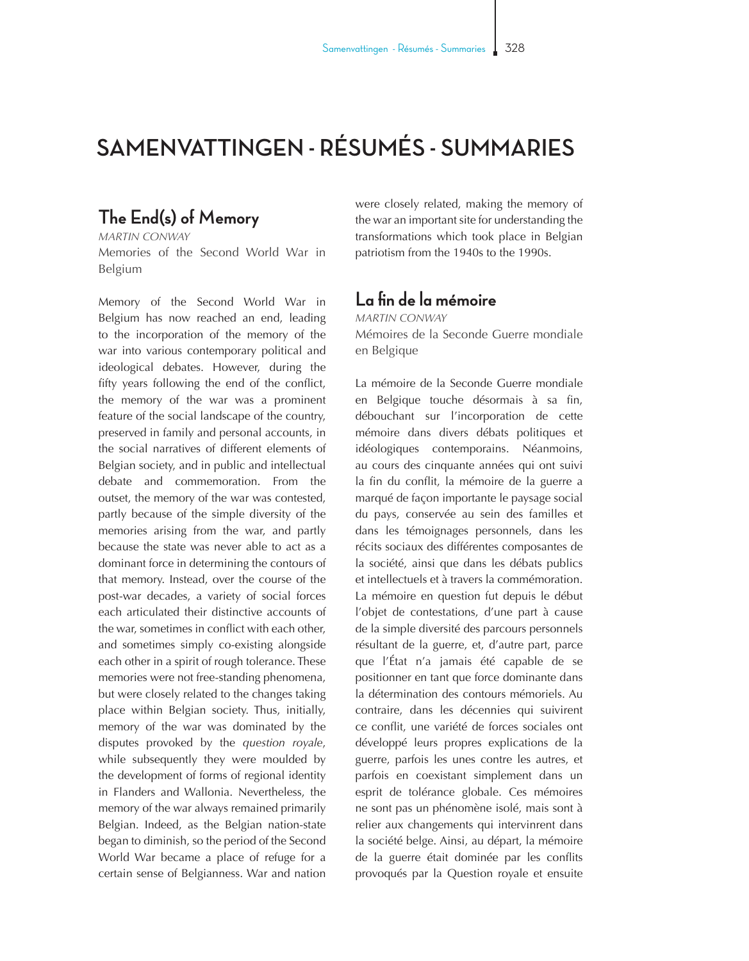## **SAMENVATTINGEN - RÉSUMÉS - SUMMARIES**

## **The End(s) of Memory**

*MARTIN CONWAY* Memories of the Second World War in Belgium

Memory of the Second World War in Belgium has now reached an end, leading to the incorporation of the memory of the war into various contemporary political and ideological debates. However, during the fifty years following the end of the conflict, the memory of the war was a prominent feature of the social landscape of the country, preserved in family and personal accounts, in the social narratives of different elements of Belgian society, and in public and intellectual debate and commemoration. From the outset, the memory of the war was contested, partly because of the simple diversity of the memories arising from the war, and partly because the state was never able to act as a dominant force in determining the contours of that memory. Instead, over the course of the post-war decades, a variety of social forces each articulated their distinctive accounts of the war, sometimes in conflict with each other, and sometimes simply co-existing alongside each other in a spirit of rough tolerance. These memories were not free-standing phenomena, but were closely related to the changes taking place within Belgian society. Thus, initially, memory of the war was dominated by the disputes provoked by the *question royale*, while subsequently they were moulded by the development of forms of regional identity in Flanders and Wallonia. Nevertheless, the memory of the war always remained primarily Belgian. Indeed, as the Belgian nation-state began to diminish, so the period of the Second World War became a place of refuge for a certain sense of Belgianness. War and nation

were closely related, making the memory of the war an important site for understanding the transformations which took place in Belgian patriotism from the 1940s to the 1990s.

## **La fin de la mémoire**

*MARTIN CONWAY* Mémoires de la Seconde Guerre mondiale en Belgique

La mémoire de la Seconde Guerre mondiale en Belgique touche désormais à sa fin, débouchant sur l'incorporation de cette mémoire dans divers débats politiques et idéologiques contemporains. Néanmoins, au cours des cinquante années qui ont suivi la fin du conflit, la mémoire de la guerre a marqué de façon importante le paysage social du pays, conservée au sein des familles et dans les témoignages personnels, dans les récits sociaux des différentes composantes de la société, ainsi que dans les débats publics et intellectuels et à travers la commémoration. La mémoire en question fut depuis le début l'objet de contestations, d'une part à cause de la simple diversité des parcours personnels résultant de la guerre, et, d'autre part, parce que l'État n'a jamais été capable de se positionner en tant que force dominante dans la détermination des contours mémoriels. Au contraire, dans les décennies qui suivirent ce conflit, une variété de forces sociales ont développé leurs propres explications de la guerre, parfois les unes contre les autres, et parfois en coexistant simplement dans un esprit de tolérance globale. Ces mémoires ne sont pas un phénomène isolé, mais sont à relier aux changements qui intervinrent dans la société belge. Ainsi, au départ, la mémoire de la guerre était dominée par les conflits provoqués par la Question royale et ensuite